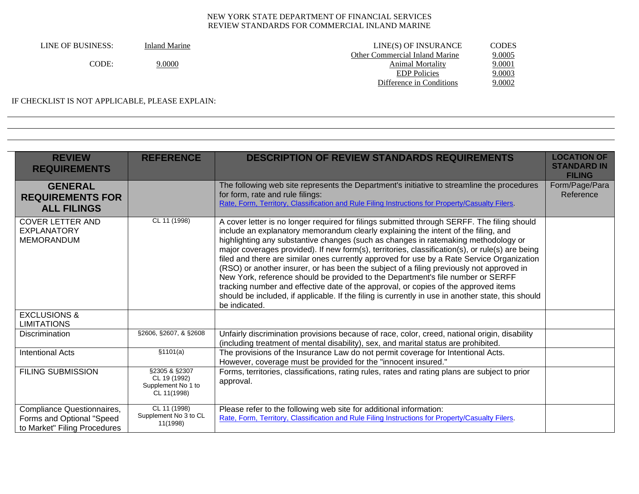| LINE OF BUSINESS: | <b>Inland Marine</b> | LINE(S) OF INSURANCE           | CODES  |
|-------------------|----------------------|--------------------------------|--------|
|                   |                      | Other Commercial Inland Marine | 9.0005 |
| CODE:             | 9.0000               | <b>Animal Mortality</b>        | 9.0001 |
|                   |                      | <b>EDP</b> Policies            | 9.0003 |
|                   |                      | Difference in Conditions       | 9.0002 |
|                   |                      |                                |        |

IF CHECKLIST IS NOT APPLICABLE, PLEASE EXPLAIN:

| <b>REVIEW</b><br><b>REQUIREMENTS</b>                                                    | <b>REFERENCE</b>                                                   | <b>DESCRIPTION OF REVIEW STANDARDS REQUIREMENTS</b>                                                                                                                                                                                                                                                                                                                                                                                                                                                                                                                                                                                                                                                                                                                                                                                                                   | <b>LOCATION OF</b><br><b>STANDARD IN</b><br><b>FILING</b> |
|-----------------------------------------------------------------------------------------|--------------------------------------------------------------------|-----------------------------------------------------------------------------------------------------------------------------------------------------------------------------------------------------------------------------------------------------------------------------------------------------------------------------------------------------------------------------------------------------------------------------------------------------------------------------------------------------------------------------------------------------------------------------------------------------------------------------------------------------------------------------------------------------------------------------------------------------------------------------------------------------------------------------------------------------------------------|-----------------------------------------------------------|
| <b>GENERAL</b><br><b>REQUIREMENTS FOR</b><br><b>ALL FILINGS</b>                         |                                                                    | The following web site represents the Department's initiative to streamline the procedures<br>for form, rate and rule filings:<br>Rate, Form, Territory, Classification and Rule Filing Instructions for Property/Casualty Filers.                                                                                                                                                                                                                                                                                                                                                                                                                                                                                                                                                                                                                                    | Form/Page/Para<br>Reference                               |
| <b>COVER LETTER AND</b><br><b>EXPLANATORY</b><br><b>MEMORANDUM</b>                      | CL 11 (1998)                                                       | A cover letter is no longer required for filings submitted through SERFF. The filing should<br>include an explanatory memorandum clearly explaining the intent of the filing, and<br>highlighting any substantive changes (such as changes in ratemaking methodology or<br>major coverages provided). If new form(s), territories, classification(s), or rule(s) are being<br>filed and there are similar ones currently approved for use by a Rate Service Organization<br>(RSO) or another insurer, or has been the subject of a filing previously not approved in<br>New York, reference should be provided to the Department's file number or SERFF<br>tracking number and effective date of the approval, or copies of the approved items<br>should be included, if applicable. If the filing is currently in use in another state, this should<br>be indicated. |                                                           |
| <b>EXCLUSIONS &amp;</b><br><b>LIMITATIONS</b>                                           |                                                                    |                                                                                                                                                                                                                                                                                                                                                                                                                                                                                                                                                                                                                                                                                                                                                                                                                                                                       |                                                           |
| <b>Discrimination</b>                                                                   | §2606, §2607, & §2608                                              | Unfairly discrimination provisions because of race, color, creed, national origin, disability<br>(including treatment of mental disability), sex, and marital status are prohibited.                                                                                                                                                                                                                                                                                                                                                                                                                                                                                                                                                                                                                                                                                  |                                                           |
| <b>Intentional Acts</b>                                                                 | \$1101(a)                                                          | The provisions of the Insurance Law do not permit coverage for Intentional Acts.<br>However, coverage must be provided for the "innocent insured."                                                                                                                                                                                                                                                                                                                                                                                                                                                                                                                                                                                                                                                                                                                    |                                                           |
| <b>FILING SUBMISSION</b>                                                                | §2305 & §2307<br>CL 19 (1992)<br>Supplement No 1 to<br>CL 11(1998) | Forms, territories, classifications, rating rules, rates and rating plans are subject to prior<br>approval.                                                                                                                                                                                                                                                                                                                                                                                                                                                                                                                                                                                                                                                                                                                                                           |                                                           |
| Compliance Questionnaires,<br>Forms and Optional "Speed<br>to Market" Filing Procedures | CL 11 (1998)<br>Supplement No 3 to CL<br>11(1998)                  | Please refer to the following web site for additional information:<br>Rate, Form, Territory, Classification and Rule Filing Instructions for Property/Casualty Filers.                                                                                                                                                                                                                                                                                                                                                                                                                                                                                                                                                                                                                                                                                                |                                                           |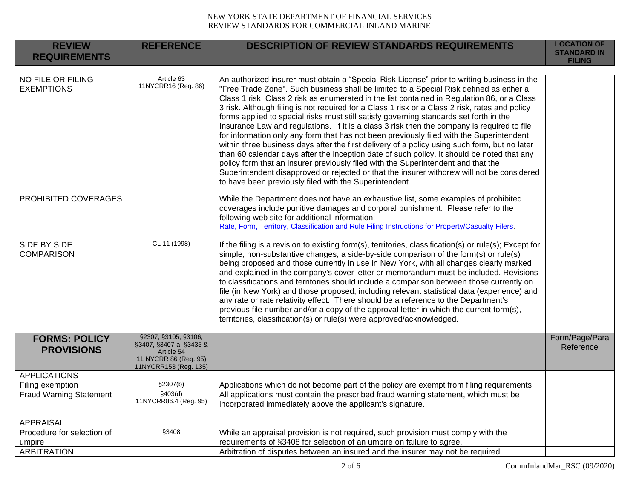| <b>REVIEW</b><br><b>REQUIREMENTS</b>      | <b>REFERENCE</b>                                                                                                | <b>DESCRIPTION OF REVIEW STANDARDS REQUIREMENTS</b>                                                                                                                                                                                                                                                                                                                                                                                                                                                                                                                                                                                                                                                                                                                                                                                                                                                                                                                                                                                                                                                                      | <b>LOCATION OF</b><br><b>STANDARD IN</b><br><b>FILING</b> |
|-------------------------------------------|-----------------------------------------------------------------------------------------------------------------|--------------------------------------------------------------------------------------------------------------------------------------------------------------------------------------------------------------------------------------------------------------------------------------------------------------------------------------------------------------------------------------------------------------------------------------------------------------------------------------------------------------------------------------------------------------------------------------------------------------------------------------------------------------------------------------------------------------------------------------------------------------------------------------------------------------------------------------------------------------------------------------------------------------------------------------------------------------------------------------------------------------------------------------------------------------------------------------------------------------------------|-----------------------------------------------------------|
|                                           |                                                                                                                 |                                                                                                                                                                                                                                                                                                                                                                                                                                                                                                                                                                                                                                                                                                                                                                                                                                                                                                                                                                                                                                                                                                                          |                                                           |
| NO FILE OR FILING<br><b>EXEMPTIONS</b>    | Article 63<br>11NYCRR16 (Reg. 86)                                                                               | An authorized insurer must obtain a "Special Risk License" prior to writing business in the<br>"Free Trade Zone". Such business shall be limited to a Special Risk defined as either a<br>Class 1 risk, Class 2 risk as enumerated in the list contained in Regulation 86, or a Class<br>3 risk. Although filing is not required for a Class 1 risk or a Class 2 risk, rates and policy<br>forms applied to special risks must still satisfy governing standards set forth in the<br>Insurance Law and regulations. If it is a class 3 risk then the company is required to file<br>for information only any form that has not been previously filed with the Superintendent<br>within three business days after the first delivery of a policy using such form, but no later<br>than 60 calendar days after the inception date of such policy. It should be noted that any<br>policy form that an insurer previously filed with the Superintendent and that the<br>Superintendent disapproved or rejected or that the insurer withdrew will not be considered<br>to have been previously filed with the Superintendent. |                                                           |
| PROHIBITED COVERAGES                      |                                                                                                                 | While the Department does not have an exhaustive list, some examples of prohibited<br>coverages include punitive damages and corporal punishment. Please refer to the<br>following web site for additional information:<br>Rate, Form, Territory, Classification and Rule Filing Instructions for Property/Casualty Filers.                                                                                                                                                                                                                                                                                                                                                                                                                                                                                                                                                                                                                                                                                                                                                                                              |                                                           |
| <b>SIDE BY SIDE</b><br><b>COMPARISON</b>  | CL 11 (1998)                                                                                                    | If the filing is a revision to existing form(s), territories, classification(s) or rule(s); Except for<br>simple, non-substantive changes, a side-by-side comparison of the form(s) or rule(s)<br>being proposed and those currently in use in New York, with all changes clearly marked<br>and explained in the company's cover letter or memorandum must be included. Revisions<br>to classifications and territories should include a comparison between those currently on<br>file (in New York) and those proposed, including relevant statistical data (experience) and<br>any rate or rate relativity effect. There should be a reference to the Department's<br>previous file number and/or a copy of the approval letter in which the current form(s),<br>territories, classification(s) or rule(s) were approved/acknowledged.                                                                                                                                                                                                                                                                                 |                                                           |
| <b>FORMS: POLICY</b><br><b>PROVISIONS</b> | §2307, §3105, §3106,<br>§3407, §3407-a, §3435 &<br>Article 54<br>11 NYCRR 86 (Reg. 95)<br>11NYCRR153 (Reg. 135) |                                                                                                                                                                                                                                                                                                                                                                                                                                                                                                                                                                                                                                                                                                                                                                                                                                                                                                                                                                                                                                                                                                                          | Form/Page/Para<br>Reference                               |
| <b>APPLICATIONS</b>                       |                                                                                                                 |                                                                                                                                                                                                                                                                                                                                                                                                                                                                                                                                                                                                                                                                                                                                                                                                                                                                                                                                                                                                                                                                                                                          |                                                           |
| Filing exemption                          | \$2307(b)                                                                                                       | Applications which do not become part of the policy are exempt from filing requirements                                                                                                                                                                                                                                                                                                                                                                                                                                                                                                                                                                                                                                                                                                                                                                                                                                                                                                                                                                                                                                  |                                                           |
| <b>Fraud Warning Statement</b>            | §403(d)<br>11NYCRR86.4 (Reg. 95)                                                                                | All applications must contain the prescribed fraud warning statement, which must be<br>incorporated immediately above the applicant's signature.                                                                                                                                                                                                                                                                                                                                                                                                                                                                                                                                                                                                                                                                                                                                                                                                                                                                                                                                                                         |                                                           |
| <b>APPRAISAL</b>                          |                                                                                                                 |                                                                                                                                                                                                                                                                                                                                                                                                                                                                                                                                                                                                                                                                                                                                                                                                                                                                                                                                                                                                                                                                                                                          |                                                           |
| Procedure for selection of<br>umpire      | §3408                                                                                                           | While an appraisal provision is not required, such provision must comply with the<br>requirements of §3408 for selection of an umpire on failure to agree.                                                                                                                                                                                                                                                                                                                                                                                                                                                                                                                                                                                                                                                                                                                                                                                                                                                                                                                                                               |                                                           |
| <b>ARBITRATION</b>                        |                                                                                                                 | Arbitration of disputes between an insured and the insurer may not be required.                                                                                                                                                                                                                                                                                                                                                                                                                                                                                                                                                                                                                                                                                                                                                                                                                                                                                                                                                                                                                                          |                                                           |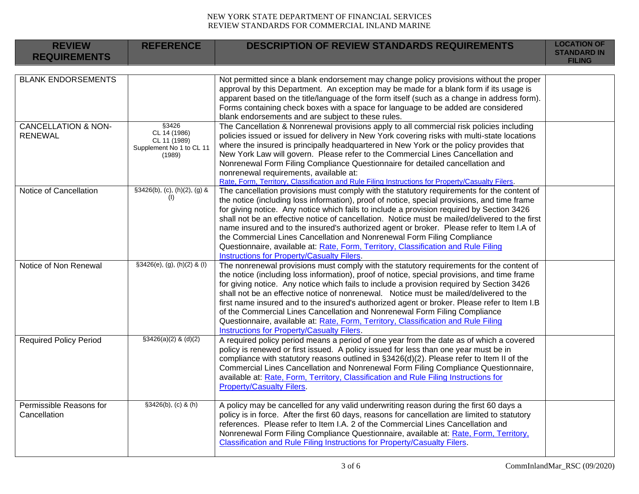| <b>REVIEW</b><br><b>REQUIREMENTS</b>             | <b>REFERENCE</b>                                                            | <b>DESCRIPTION OF REVIEW STANDARDS REQUIREMENTS</b>                                                                                                                                                                                                                                                                                                                                                                                                                                                                                                                                                                                                                                                          | <b>LOCATION OF</b><br><b>STANDARD IN</b><br><b>FILING</b> |
|--------------------------------------------------|-----------------------------------------------------------------------------|--------------------------------------------------------------------------------------------------------------------------------------------------------------------------------------------------------------------------------------------------------------------------------------------------------------------------------------------------------------------------------------------------------------------------------------------------------------------------------------------------------------------------------------------------------------------------------------------------------------------------------------------------------------------------------------------------------------|-----------------------------------------------------------|
| <b>BLANK ENDORSEMENTS</b>                        |                                                                             | Not permitted since a blank endorsement may change policy provisions without the proper<br>approval by this Department. An exception may be made for a blank form if its usage is<br>apparent based on the title/language of the form itself (such as a change in address form).<br>Forms containing check boxes with a space for language to be added are considered<br>blank endorsements and are subject to these rules.                                                                                                                                                                                                                                                                                  |                                                           |
| <b>CANCELLATION &amp; NON-</b><br><b>RENEWAL</b> | §3426<br>CL 14 (1986)<br>CL 11 (1989)<br>Supplement No 1 to CL 11<br>(1989) | The Cancellation & Nonrenewal provisions apply to all commercial risk policies including<br>policies issued or issued for delivery in New York covering risks with multi-state locations<br>where the insured is principally headquartered in New York or the policy provides that<br>New York Law will govern. Please refer to the Commercial Lines Cancellation and<br>Nonrenewal Form Filing Compliance Questionnaire for detailed cancellation and<br>nonrenewal requirements, available at:<br>Rate, Form, Territory, Classification and Rule Filing Instructions for Property/Casualty Filers.                                                                                                         |                                                           |
| Notice of Cancellation                           | $§3426(b), (c), (h)(2), (g)$ &<br>(1)                                       | The cancellation provisions must comply with the statutory requirements for the content of<br>the notice (including loss information), proof of notice, special provisions, and time frame<br>for giving notice. Any notice which fails to include a provision required by Section 3426<br>shall not be an effective notice of cancellation. Notice must be mailed/delivered to the first<br>name insured and to the insured's authorized agent or broker. Please refer to Item I.A of<br>the Commercial Lines Cancellation and Nonrenewal Form Filing Compliance<br>Questionnaire, available at: Rate, Form, Territory, Classification and Rule Filing<br><b>Instructions for Property/Casualty Filers.</b> |                                                           |
| Notice of Non Renewal                            | $§3426(e), (g), (h)(2)$ & (I)                                               | The nonrenewal provisions must comply with the statutory requirements for the content of<br>the notice (including loss information), proof of notice, special provisions, and time frame<br>for giving notice. Any notice which fails to include a provision required by Section 3426<br>shall not be an effective notice of nonrenewal. Notice must be mailed/delivered to the<br>first name insured and to the insured's authorized agent or broker. Please refer to Item I.B<br>of the Commercial Lines Cancellation and Nonrenewal Form Filing Compliance<br>Questionnaire, available at: Rate, Form, Territory, Classification and Rule Filing<br>Instructions for Property/Casualty Filers.            |                                                           |
| <b>Required Policy Period</b>                    | $\sqrt{3426(a)(2) 8 (d)(2)}$                                                | A required policy period means a period of one year from the date as of which a covered<br>policy is renewed or first issued. A policy issued for less than one year must be in<br>compliance with statutory reasons outlined in §3426(d)(2). Please refer to Item II of the<br>Commercial Lines Cancellation and Nonrenewal Form Filing Compliance Questionnaire,<br>available at: Rate, Form, Territory, Classification and Rule Filing Instructions for<br><b>Property/Casualty Filers.</b>                                                                                                                                                                                                               |                                                           |
| Permissible Reasons for<br>Cancellation          | $$3426(b), (c)$ & (h)                                                       | A policy may be cancelled for any valid underwriting reason during the first 60 days a<br>policy is in force. After the first 60 days, reasons for cancellation are limited to statutory<br>references. Please refer to Item I.A. 2 of the Commercial Lines Cancellation and<br>Nonrenewal Form Filing Compliance Questionnaire, available at: Rate, Form, Territory,<br><b>Classification and Rule Filing Instructions for Property/Casualty Filers.</b>                                                                                                                                                                                                                                                    |                                                           |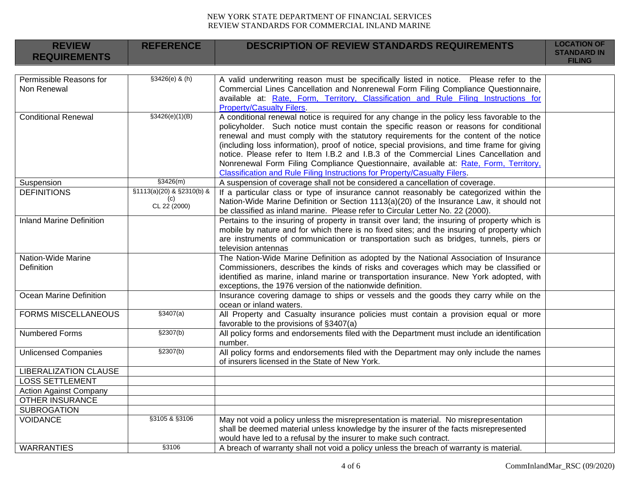| <b>REVIEW</b><br><b>REQUIREMENTS</b>   | <b>REFERENCE</b>                                 | <b>DESCRIPTION OF REVIEW STANDARDS REQUIREMENTS</b>                                                                                                                                                                                                                                                                                                                                                                                                                                                                                                                                                                                                 | <b>LOCATION OF</b><br><b>STANDARD IN</b><br><b>FILING</b> |
|----------------------------------------|--------------------------------------------------|-----------------------------------------------------------------------------------------------------------------------------------------------------------------------------------------------------------------------------------------------------------------------------------------------------------------------------------------------------------------------------------------------------------------------------------------------------------------------------------------------------------------------------------------------------------------------------------------------------------------------------------------------------|-----------------------------------------------------------|
|                                        |                                                  |                                                                                                                                                                                                                                                                                                                                                                                                                                                                                                                                                                                                                                                     |                                                           |
| Permissible Reasons for<br>Non Renewal | $$3426(e)$ & (h)                                 | A valid underwriting reason must be specifically listed in notice. Please refer to the<br>Commercial Lines Cancellation and Nonrenewal Form Filing Compliance Questionnaire,<br>available at: Rate, Form, Territory, Classification and Rule Filing Instructions for<br><b>Property/Casualty Filers.</b>                                                                                                                                                                                                                                                                                                                                            |                                                           |
| <b>Conditional Renewal</b>             | \$3426(e)(1)(B)                                  | A conditional renewal notice is required for any change in the policy less favorable to the<br>policyholder. Such notice must contain the specific reason or reasons for conditional<br>renewal and must comply with the statutory requirements for the content of the notice<br>(including loss information), proof of notice, special provisions, and time frame for giving<br>notice. Please refer to Item I.B.2 and I.B.3 of the Commercial Lines Cancellation and<br>Nonrenewal Form Filing Compliance Questionnaire, available at: Rate, Form, Territory,<br><b>Classification and Rule Filing Instructions for Property/Casualty Filers.</b> |                                                           |
| Suspension                             | \$3426(m)                                        | A suspension of coverage shall not be considered a cancellation of coverage.                                                                                                                                                                                                                                                                                                                                                                                                                                                                                                                                                                        |                                                           |
| <b>DEFINITIONS</b>                     | §1113(a)(20) & §2310(b) &<br>(c)<br>CL 22 (2000) | If a particular class or type of insurance cannot reasonably be categorized within the<br>Nation-Wide Marine Definition or Section 1113(a)(20) of the Insurance Law, it should not<br>be classified as inland marine. Please refer to Circular Letter No. 22 (2000).                                                                                                                                                                                                                                                                                                                                                                                |                                                           |
| <b>Inland Marine Definition</b>        |                                                  | Pertains to the insuring of property in transit over land; the insuring of property which is<br>mobile by nature and for which there is no fixed sites; and the insuring of property which<br>are instruments of communication or transportation such as bridges, tunnels, piers or<br>television antennas                                                                                                                                                                                                                                                                                                                                          |                                                           |
| Nation-Wide Marine<br>Definition       |                                                  | The Nation-Wide Marine Definition as adopted by the National Association of Insurance<br>Commissioners, describes the kinds of risks and coverages which may be classified or<br>identified as marine, inland marine or transportation insurance. New York adopted, with<br>exceptions, the 1976 version of the nationwide definition.                                                                                                                                                                                                                                                                                                              |                                                           |
| Ocean Marine Definition                |                                                  | Insurance covering damage to ships or vessels and the goods they carry while on the<br>ocean or inland waters.                                                                                                                                                                                                                                                                                                                                                                                                                                                                                                                                      |                                                           |
| <b>FORMS MISCELLANEOUS</b>             | \$3407(a)                                        | All Property and Casualty insurance policies must contain a provision equal or more<br>favorable to the provisions of §3407(a)                                                                                                                                                                                                                                                                                                                                                                                                                                                                                                                      |                                                           |
| <b>Numbered Forms</b>                  | \$2307(b)                                        | All policy forms and endorsements filed with the Department must include an identification<br>number.                                                                                                                                                                                                                                                                                                                                                                                                                                                                                                                                               |                                                           |
| <b>Unlicensed Companies</b>            | \$2307(b)                                        | All policy forms and endorsements filed with the Department may only include the names<br>of insurers licensed in the State of New York.                                                                                                                                                                                                                                                                                                                                                                                                                                                                                                            |                                                           |
| <b>LIBERALIZATION CLAUSE</b>           |                                                  |                                                                                                                                                                                                                                                                                                                                                                                                                                                                                                                                                                                                                                                     |                                                           |
| <b>LOSS SETTLEMENT</b>                 |                                                  |                                                                                                                                                                                                                                                                                                                                                                                                                                                                                                                                                                                                                                                     |                                                           |
| <b>Action Against Company</b>          |                                                  |                                                                                                                                                                                                                                                                                                                                                                                                                                                                                                                                                                                                                                                     |                                                           |
| OTHER INSURANCE                        |                                                  |                                                                                                                                                                                                                                                                                                                                                                                                                                                                                                                                                                                                                                                     |                                                           |
| <b>SUBROGATION</b>                     |                                                  |                                                                                                                                                                                                                                                                                                                                                                                                                                                                                                                                                                                                                                                     |                                                           |
| <b>VOIDANCE</b>                        | §3105 & §3106                                    | May not void a policy unless the misrepresentation is material. No misrepresentation<br>shall be deemed material unless knowledge by the insurer of the facts misrepresented<br>would have led to a refusal by the insurer to make such contract.                                                                                                                                                                                                                                                                                                                                                                                                   |                                                           |
| <b>WARRANTIES</b>                      | §3106                                            | A breach of warranty shall not void a policy unless the breach of warranty is material.                                                                                                                                                                                                                                                                                                                                                                                                                                                                                                                                                             |                                                           |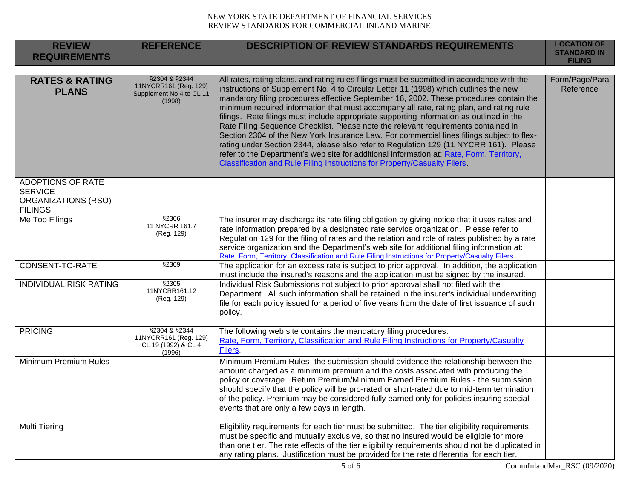| <b>REVIEW</b><br><b>REQUIREMENTS</b>                                         | <b>REFERENCE</b>                                                             | <b>DESCRIPTION OF REVIEW STANDARDS REQUIREMENTS</b>                                                                                                                                                                                                                                                                                                                                                                                                                                                                                                                                                                                                                                                                                                                                                                                                                                                                      | <b>LOCATION OF</b><br><b>STANDARD IN</b><br><b>FILING</b> |
|------------------------------------------------------------------------------|------------------------------------------------------------------------------|--------------------------------------------------------------------------------------------------------------------------------------------------------------------------------------------------------------------------------------------------------------------------------------------------------------------------------------------------------------------------------------------------------------------------------------------------------------------------------------------------------------------------------------------------------------------------------------------------------------------------------------------------------------------------------------------------------------------------------------------------------------------------------------------------------------------------------------------------------------------------------------------------------------------------|-----------------------------------------------------------|
|                                                                              |                                                                              |                                                                                                                                                                                                                                                                                                                                                                                                                                                                                                                                                                                                                                                                                                                                                                                                                                                                                                                          |                                                           |
| <b>RATES &amp; RATING</b><br><b>PLANS</b>                                    | §2304 & §2344<br>11NYCRR161 (Reg. 129)<br>Supplement No 4 to CL 11<br>(1998) | All rates, rating plans, and rating rules filings must be submitted in accordance with the<br>instructions of Supplement No. 4 to Circular Letter 11 (1998) which outlines the new<br>mandatory filing procedures effective September 16, 2002. These procedures contain the<br>minimum required information that must accompany all rate, rating plan, and rating rule<br>filings. Rate filings must include appropriate supporting information as outlined in the<br>Rate Filing Sequence Checklist. Please note the relevant requirements contained in<br>Section 2304 of the New York Insurance Law. For commercial lines filings subject to flex-<br>rating under Section 2344, please also refer to Regulation 129 (11 NYCRR 161). Please<br>refer to the Department's web site for additional information at: Rate, Form, Territory,<br>Classification and Rule Filing Instructions for Property/Casualty Filers. | Form/Page/Para<br>Reference                               |
| ADOPTIONS OF RATE<br><b>SERVICE</b><br>ORGANIZATIONS (RSO)<br><b>FILINGS</b> |                                                                              |                                                                                                                                                                                                                                                                                                                                                                                                                                                                                                                                                                                                                                                                                                                                                                                                                                                                                                                          |                                                           |
| Me Too Filings                                                               | §2306<br>11 NYCRR 161.7<br>(Reg. 129)                                        | The insurer may discharge its rate filing obligation by giving notice that it uses rates and<br>rate information prepared by a designated rate service organization. Please refer to<br>Regulation 129 for the filing of rates and the relation and role of rates published by a rate<br>service organization and the Department's web site for additional filing information at:<br>Rate, Form, Territory, Classification and Rule Filing Instructions for Property/Casualty Filers.                                                                                                                                                                                                                                                                                                                                                                                                                                    |                                                           |
| CONSENT-TO-RATE                                                              | \$2309                                                                       | The application for an excess rate is subject to prior approval. In addition, the application<br>must include the insured's reasons and the application must be signed by the insured.                                                                                                                                                                                                                                                                                                                                                                                                                                                                                                                                                                                                                                                                                                                                   |                                                           |
| <b>INDIVIDUAL RISK RATING</b>                                                | \$2305<br>11NYCRR161.12<br>(Reg. 129)                                        | Individual Risk Submissions not subject to prior approval shall not filed with the<br>Department. All such information shall be retained in the insurer's individual underwriting<br>file for each policy issued for a period of five years from the date of first issuance of such<br>policy.                                                                                                                                                                                                                                                                                                                                                                                                                                                                                                                                                                                                                           |                                                           |
| <b>PRICING</b>                                                               | §2304 & §2344<br>11NYCRR161 (Reg. 129)<br>CL 19 (1992) & CL 4<br>(1996)      | The following web site contains the mandatory filing procedures:<br>Rate, Form, Territory, Classification and Rule Filing Instructions for Property/Casualty<br>Filers.                                                                                                                                                                                                                                                                                                                                                                                                                                                                                                                                                                                                                                                                                                                                                  |                                                           |
| <b>Minimum Premium Rules</b>                                                 |                                                                              | Minimum Premium Rules- the submission should evidence the relationship between the<br>amount charged as a minimum premium and the costs associated with producing the<br>policy or coverage. Return Premium/Minimum Earned Premium Rules - the submission<br>should specify that the policy will be pro-rated or short-rated due to mid-term termination<br>of the policy. Premium may be considered fully earned only for policies insuring special<br>events that are only a few days in length.                                                                                                                                                                                                                                                                                                                                                                                                                       |                                                           |
| <b>Multi Tiering</b>                                                         |                                                                              | Eligibility requirements for each tier must be submitted. The tier eligibility requirements<br>must be specific and mutually exclusive, so that no insured would be eligible for more<br>than one tier. The rate effects of the tier eligibility requirements should not be duplicated in<br>any rating plans. Justification must be provided for the rate differential for each tier.                                                                                                                                                                                                                                                                                                                                                                                                                                                                                                                                   |                                                           |